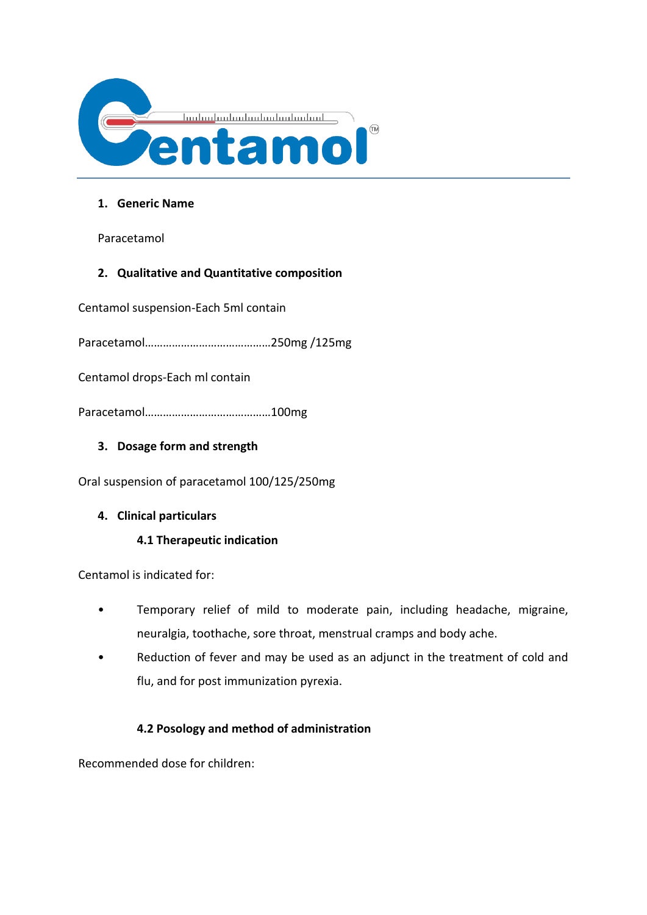

#### **1. Generic Name**

Paracetamol

# **2. Qualitative and Quantitative composition**

Centamol suspension-Each 5ml contain

Paracetamol……………………………………250mg /125mg

Centamol drops-Each ml contain

Paracetamol……………………………………100mg

# **3. Dosage form and strength**

Oral suspension of paracetamol 100/125/250mg

#### **4. Clinical particulars**

# **4.1 Therapeutic indication**

Centamol is indicated for:

- Temporary relief of mild to moderate pain, including headache, migraine, neuralgia, toothache, sore throat, menstrual cramps and body ache.
- Reduction of fever and may be used as an adjunct in the treatment of cold and flu, and for post immunization pyrexia.

# **4.2 Posology and method of administration**

Recommended dose for children: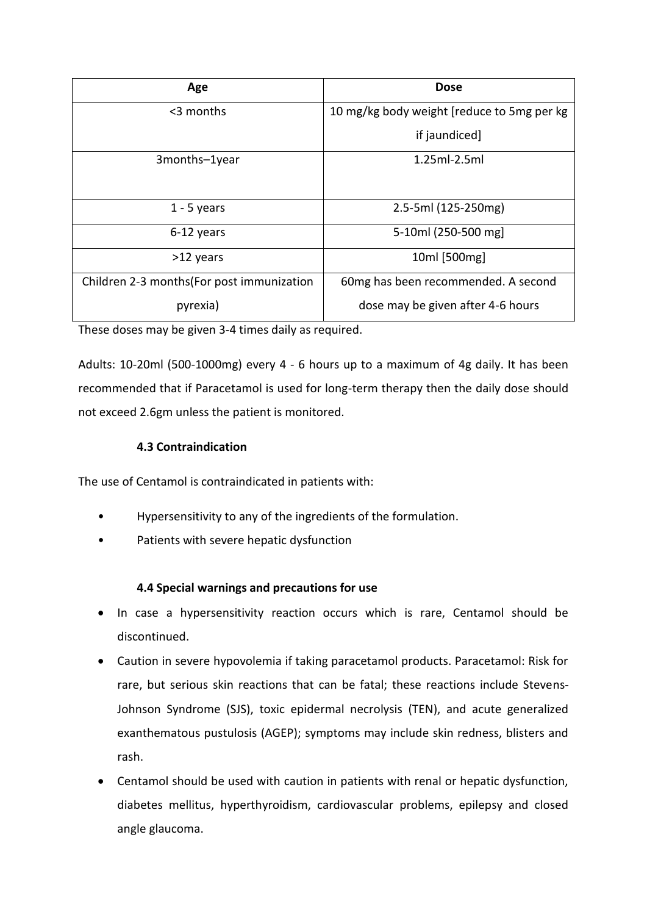| Age                                        | <b>Dose</b>                                |
|--------------------------------------------|--------------------------------------------|
| $<$ 3 months                               | 10 mg/kg body weight [reduce to 5mg per kg |
|                                            | if jaundiced]                              |
| 3months-1year                              | $1.25ml-2.5ml$                             |
|                                            |                                            |
| $1 - 5$ years                              | 2.5-5ml (125-250mg)                        |
| 6-12 years                                 | 5-10ml (250-500 mg)                        |
| >12 years                                  | 10ml [500mg]                               |
| Children 2-3 months (For post immunization | 60mg has been recommended. A second        |
| pyrexia)                                   | dose may be given after 4-6 hours          |

These doses may be given 3-4 times daily as required.

Adults: 10-20ml (500-1000mg) every 4 - 6 hours up to a maximum of 4g daily. It has been recommended that if Paracetamol is used for long-term therapy then the daily dose should not exceed 2.6gm unless the patient is monitored.

# **4.3 Contraindication**

The use of Centamol is contraindicated in patients with:

- Hypersensitivity to any of the ingredients of the formulation.
- Patients with severe hepatic dysfunction

# **4.4 Special warnings and precautions for use**

- In case a hypersensitivity reaction occurs which is rare, Centamol should be discontinued.
- Caution in severe hypovolemia if taking paracetamol products. Paracetamol: Risk for rare, but serious skin reactions that can be fatal; these reactions include Stevens-Johnson Syndrome (SJS), toxic epidermal necrolysis (TEN), and acute generalized exanthematous pustulosis (AGEP); symptoms may include skin redness, blisters and rash.
- Centamol should be used with caution in patients with renal or hepatic dysfunction, diabetes mellitus, hyperthyroidism, cardiovascular problems, epilepsy and closed angle glaucoma.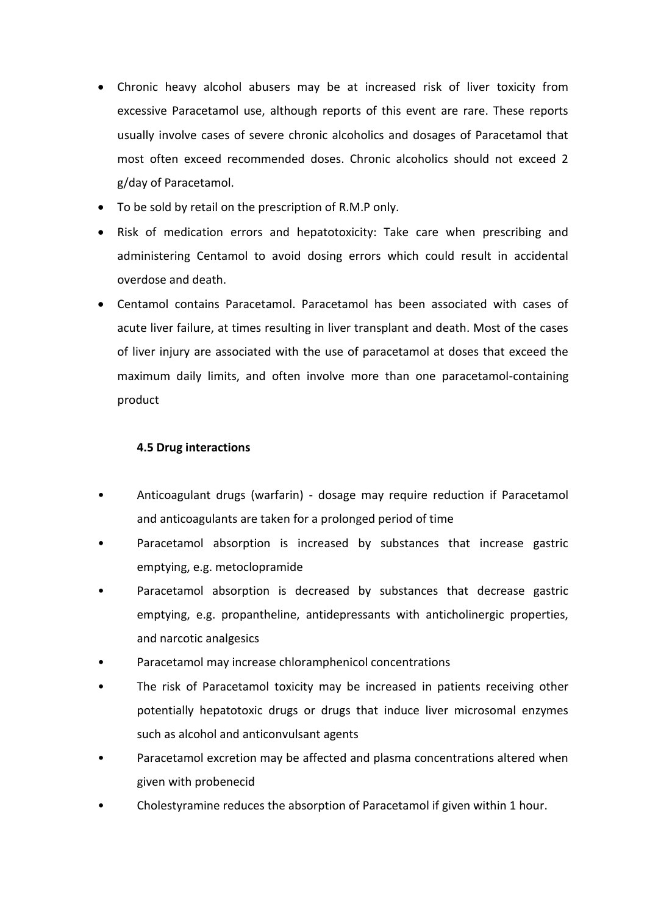- Chronic heavy alcohol abusers may be at increased risk of liver toxicity from excessive Paracetamol use, although reports of this event are rare. These reports usually involve cases of severe chronic alcoholics and dosages of Paracetamol that most often exceed recommended doses. Chronic alcoholics should not exceed 2 g/day of Paracetamol.
- To be sold by retail on the prescription of R.M.P only.
- Risk of medication errors and hepatotoxicity: Take care when prescribing and administering Centamol to avoid dosing errors which could result in accidental overdose and death.
- Centamol contains Paracetamol. Paracetamol has been associated with cases of acute liver failure, at times resulting in liver transplant and death. Most of the cases of liver injury are associated with the use of paracetamol at doses that exceed the maximum daily limits, and often involve more than one paracetamol-containing product

# **4.5 Drug interactions**

- Anticoagulant drugs (warfarin) dosage may require reduction if Paracetamol and anticoagulants are taken for a prolonged period of time
- Paracetamol absorption is increased by substances that increase gastric emptying, e.g. metoclopramide
- Paracetamol absorption is decreased by substances that decrease gastric emptying, e.g. propantheline, antidepressants with anticholinergic properties, and narcotic analgesics
- Paracetamol may increase chloramphenicol concentrations
- The risk of Paracetamol toxicity may be increased in patients receiving other potentially hepatotoxic drugs or drugs that induce liver microsomal enzymes such as alcohol and anticonvulsant agents
- Paracetamol excretion may be affected and plasma concentrations altered when given with probenecid
- Cholestyramine reduces the absorption of Paracetamol if given within 1 hour.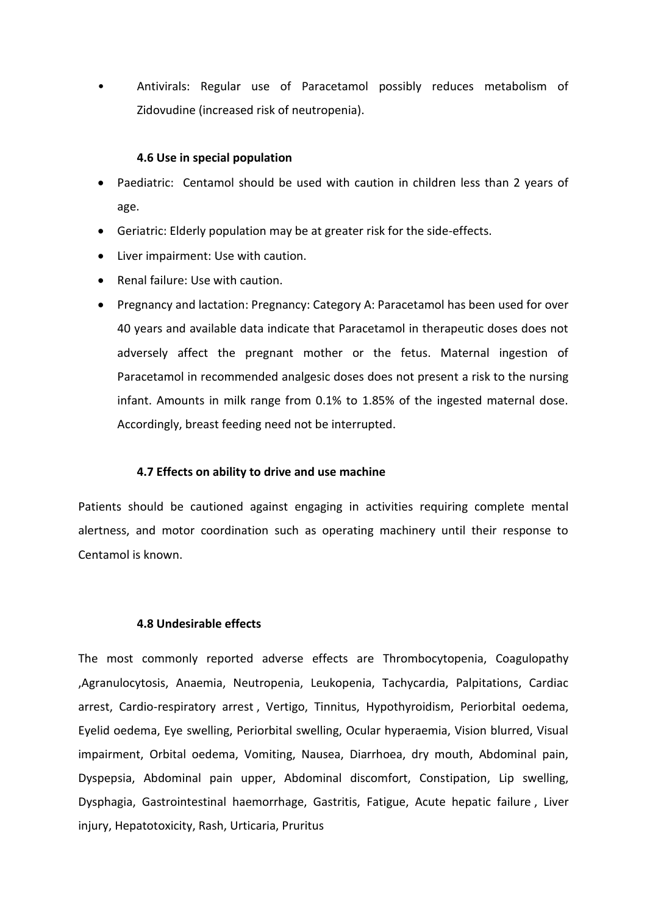• Antivirals: Regular use of Paracetamol possibly reduces metabolism of Zidovudine (increased risk of neutropenia).

#### **4.6 Use in special population**

- Paediatric: Centamol should be used with caution in children less than 2 years of age.
- Geriatric: Elderly population may be at greater risk for the side-effects.
- Liver impairment: Use with caution.
- Renal failure: Use with caution.
- Pregnancy and lactation: Pregnancy: Category A: Paracetamol has been used for over 40 years and available data indicate that Paracetamol in therapeutic doses does not adversely affect the pregnant mother or the fetus. Maternal ingestion of Paracetamol in recommended analgesic doses does not present a risk to the nursing infant. Amounts in milk range from 0.1% to 1.85% of the ingested maternal dose. Accordingly, breast feeding need not be interrupted.

#### **4.7 Effects on ability to drive and use machine**

Patients should be cautioned against engaging in activities requiring complete mental alertness, and motor coordination such as operating machinery until their response to Centamol is known.

#### **4.8 Undesirable effects**

The most commonly reported adverse effects are Thrombocytopenia, Coagulopathy ,Agranulocytosis, Anaemia, Neutropenia, Leukopenia, Tachycardia, Palpitations, Cardiac arrest, Cardio-respiratory arrest , Vertigo, Tinnitus, Hypothyroidism, Periorbital oedema, Eyelid oedema, Eye swelling, Periorbital swelling, Ocular hyperaemia, Vision blurred, Visual impairment, Orbital oedema, Vomiting, Nausea, Diarrhoea, dry mouth, Abdominal pain, Dyspepsia, Abdominal pain upper, Abdominal discomfort, Constipation, Lip swelling, Dysphagia, Gastrointestinal haemorrhage, Gastritis, Fatigue, Acute hepatic failure , Liver injury, Hepatotoxicity, Rash, Urticaria, Pruritus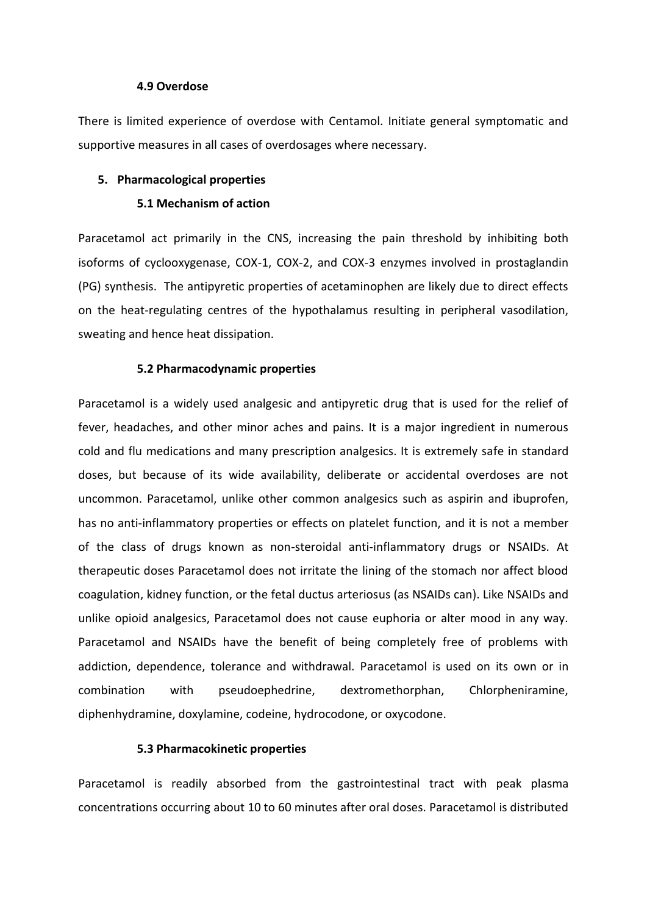#### **4.9 Overdose**

There is limited experience of overdose with Centamol. Initiate general symptomatic and supportive measures in all cases of overdosages where necessary.

#### **5. Pharmacological properties**

#### **5.1 Mechanism of action**

Paracetamol act primarily in the CNS, increasing the pain threshold by inhibiting both isoforms of cyclooxygenase, COX-1, COX-2, and COX-3 enzymes involved in prostaglandin (PG) synthesis. The antipyretic properties of acetaminophen are likely due to direct effects on the heat-regulating centres of the hypothalamus resulting in peripheral vasodilation, sweating and hence heat dissipation.

#### **5.2 Pharmacodynamic properties**

Paracetamol is a widely used analgesic and antipyretic drug that is used for the relief of fever, headaches, and other minor aches and pains. It is a major ingredient in numerous cold and flu medications and many prescription analgesics. It is extremely safe in standard doses, but because of its wide availability, deliberate or accidental overdoses are not uncommon. Paracetamol, unlike other common analgesics such as aspirin and ibuprofen, has no anti-inflammatory properties or effects on platelet function, and it is not a member of the class of drugs known as non-steroidal anti-inflammatory drugs or NSAIDs. At therapeutic doses Paracetamol does not irritate the lining of the stomach nor affect blood coagulation, kidney function, or the fetal ductus arteriosus (as NSAIDs can). Like NSAIDs and unlike opioid analgesics, Paracetamol does not cause euphoria or alter mood in any way. Paracetamol and NSAIDs have the benefit of being completely free of problems with addiction, dependence, tolerance and withdrawal. Paracetamol is used on its own or in combination with pseudoephedrine, dextromethorphan, Chlorpheniramine, diphenhydramine, doxylamine, codeine, hydrocodone, or oxycodone.

#### **5.3 Pharmacokinetic properties**

Paracetamol is readily absorbed from the gastrointestinal tract with peak plasma concentrations occurring about 10 to 60 minutes after oral doses. Paracetamol is distributed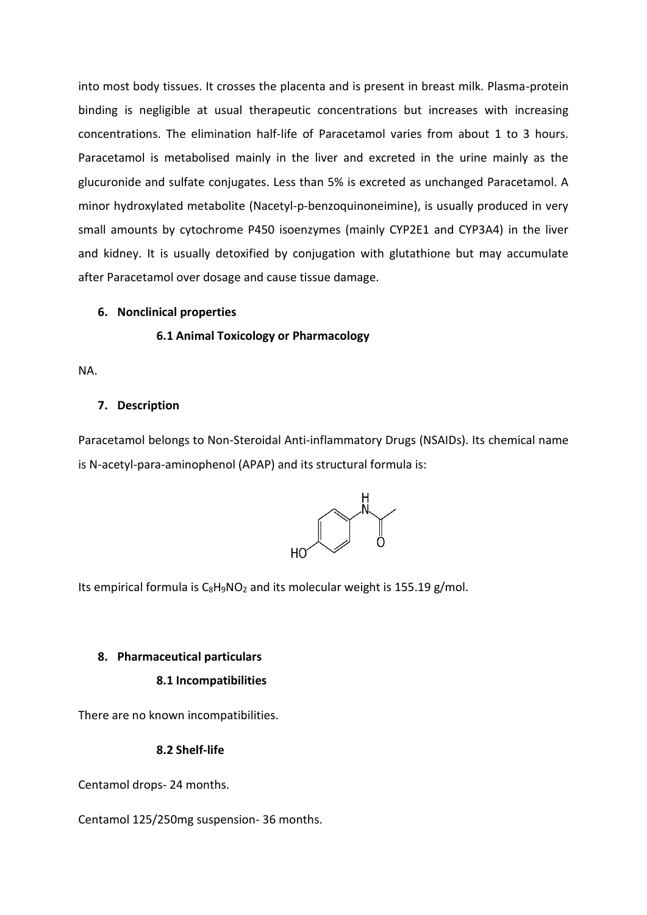into most body tissues. It crosses the placenta and is present in breast milk. Plasma-protein binding is negligible at usual therapeutic concentrations but increases with increasing concentrations. The elimination half-life of Paracetamol varies from about 1 to 3 hours. Paracetamol is metabolised mainly in the liver and excreted in the urine mainly as the glucuronide and sulfate conjugates. Less than 5% is excreted as unchanged Paracetamol. A minor hydroxylated metabolite (Nacetyl-p-benzoquinoneimine), is usually produced in very small amounts by cytochrome P450 isoenzymes (mainly CYP2E1 and CYP3A4) in the liver and kidney. It is usually detoxified by conjugation with glutathione but may accumulate after Paracetamol over dosage and cause tissue damage.

#### **6. Nonclinical properties**

#### **6.1 Animal Toxicology or Pharmacology**

NA.

#### **7. Description**

Paracetamol belongs to Non-Steroidal Anti-inflammatory Drugs (NSAIDs). Its chemical name is N-acetyl-para-aminophenol (APAP) and its structural formula is:



Its empirical formula is  $C_8H_9NO_2$  $C_8H_9NO_2$  $C_8H_9NO_2$  and its molecular weight is 155.19 g/mol.

#### **8. Pharmaceutical particulars**

#### **8.1 Incompatibilities**

There are no known incompatibilities.

**8.2 Shelf-life**

Centamol drops- 24 months.

Centamol 125/250mg suspension- 36 months.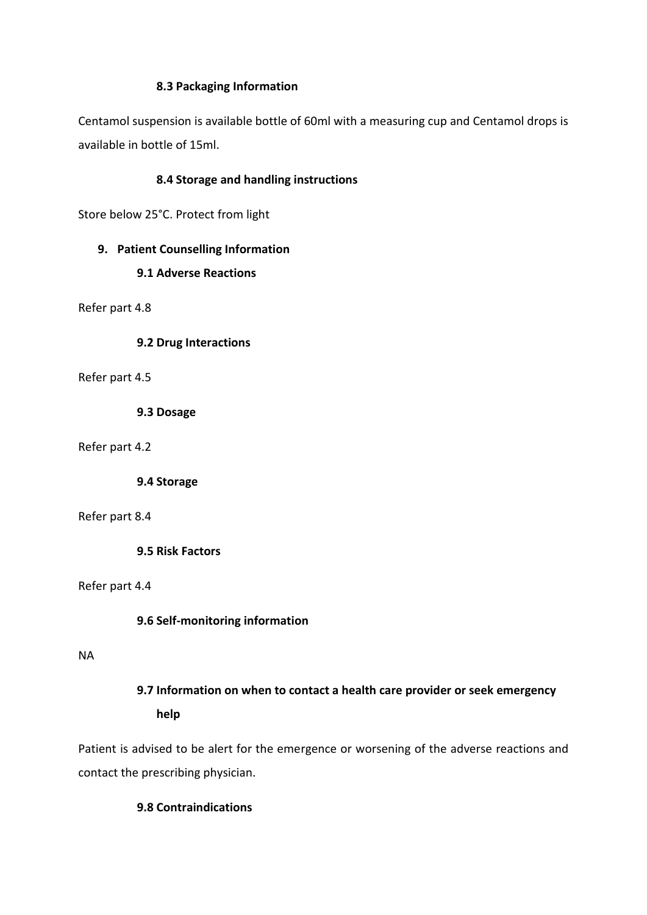#### **8.3 Packaging Information**

Centamol suspension is available bottle of 60ml with a measuring cup and Centamol drops is available in bottle of 15ml.

# **8.4 Storage and handling instructions**

Store below 25°C. Protect from light

## **9. Patient Counselling Information**

## **9.1 Adverse Reactions**

Refer part 4.8

**9.2 Drug Interactions**

Refer part 4.5

**9.3 Dosage**

Refer part 4.2

**9.4 Storage**

Refer part 8.4

**9.5 Risk Factors**

#### Refer part 4.4

# **9.6 Self-monitoring information**

#### NA

# **9.7 Information on when to contact a health care provider or seek emergency help**

Patient is advised to be alert for the emergence or worsening of the adverse reactions and contact the prescribing physician.

# **9.8 Contraindications**